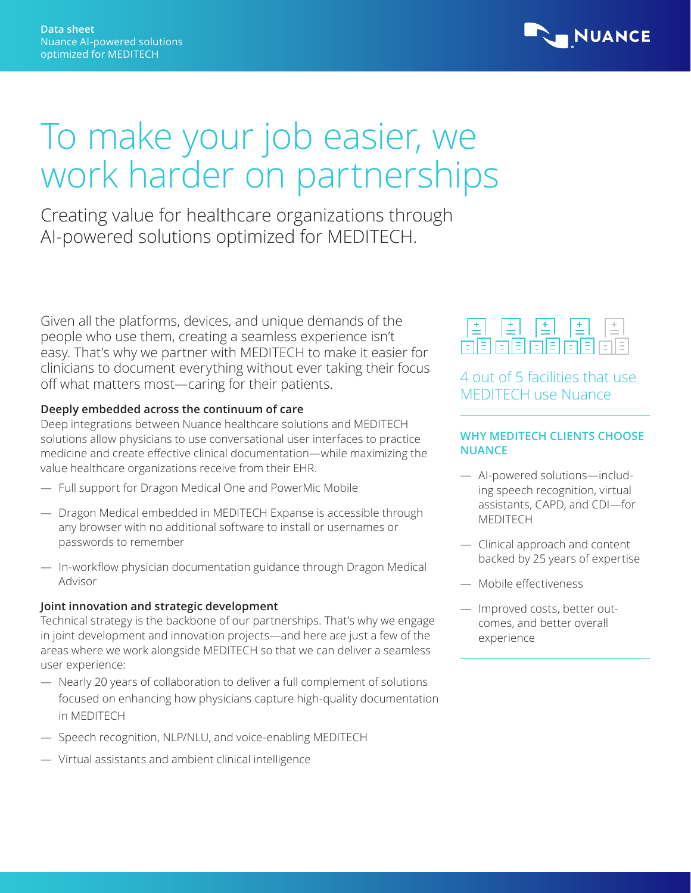

# To make your job easier, we work harder on partnerships

Creating value for healthcare organizations through AI-powered solutions optimized for MEDITECH.

Given all the platforms, devices, and unique demands of the people who use them, creating a seamless experience isn't easy. That's why we partner with MEDITECH to make it easier for clinicians to document everything without ever taking their focus off what matters most—caring for their patients.

## **Deeply embedded across the continuum of care**

Deep integrations between Nuance healthcare solutions and MEDITECH solutions allow physicians to use conversational user interfaces to practice medicine and create effective clinical documentation—while maximizing the value healthcare organizations receive from their EHR.

- Full support for Dragon Medical One and PowerMic Mobile
- Dragon Medical embedded in MEDITECH Expanse is accessible through any browser with no additional software to install or usernames or passwords to remember
- In-workflow physician documentation guidance through Dragon Medical Advisor

#### **Joint innovation and strategic development**

Technical strategy is the backbone of our partnerships. That's why we engage in joint development and innovation projects—and here are just a few of the areas where we work alongside MEDITECH so that we can deliver a seamless user experience:

- Nearly 20 years of collaboration to deliver a full complement of solutions focused on enhancing how physicians capture high-quality documentation in MEDITECH
- Speech recognition, NLP/NLU, and voice-enabling MEDITECH
- Virtual assistants and ambient clinical intelligence



## 4 out of 5 facilities that use MEDITECH use Nuance

## **WHY MEDITECH CLIENTS CHOOSE NUANCE**

- AI-powered solutions—including speech recognition, virtual assistants, CAPD, and CDI—for MEDITECH
- Clinical approach and content backed by 25 years of expertise
- Mobile effectiveness
- Improved costs, better outcomes, and better overall experience